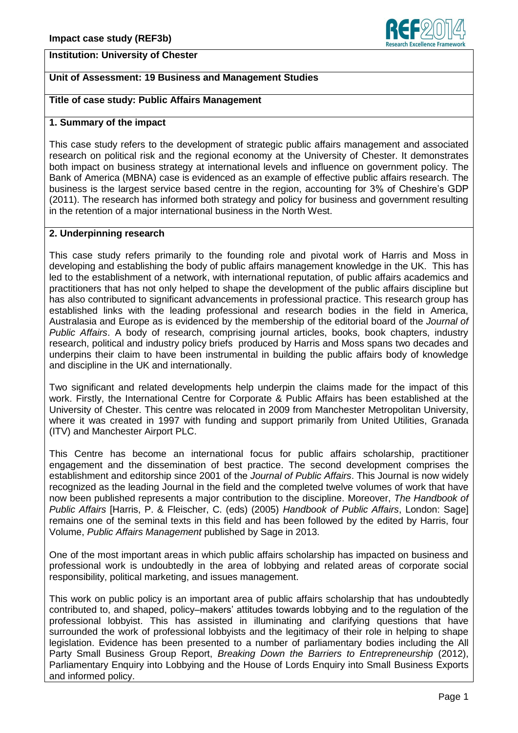### **Institution: University of Chester**



# **Unit of Assessment: 19 Business and Management Studies**

### **Title of case study: Public Affairs Management**

#### **1. Summary of the impact**

This case study refers to the development of strategic public affairs management and associated research on political risk and the regional economy at the University of Chester. It demonstrates both impact on business strategy at international levels and influence on government policy. The Bank of America (MBNA) case is evidenced as an example of effective public affairs research. The business is the largest service based centre in the region, accounting for 3% of Cheshire's GDP (2011). The research has informed both strategy and policy for business and government resulting in the retention of a major international business in the North West.

### **2. Underpinning research**

This case study refers primarily to the founding role and pivotal work of Harris and Moss in developing and establishing the body of public affairs management knowledge in the UK. This has led to the establishment of a network, with international reputation, of public affairs academics and practitioners that has not only helped to shape the development of the public affairs discipline but has also contributed to significant advancements in professional practice. This research group has established links with the leading professional and research bodies in the field in America, Australasia and Europe as is evidenced by the membership of the editorial board of the *Journal of Public Affairs*. A body of research, comprising journal articles, books, book chapters, industry research, political and industry policy briefs produced by Harris and Moss spans two decades and underpins their claim to have been instrumental in building the public affairs body of knowledge and discipline in the UK and internationally.

Two significant and related developments help underpin the claims made for the impact of this work. Firstly, the International Centre for Corporate & Public Affairs has been established at the University of Chester. This centre was relocated in 2009 from Manchester Metropolitan University, where it was created in 1997 with funding and support primarily from United Utilities, Granada (ITV) and Manchester Airport PLC.

This Centre has become an international focus for public affairs scholarship, practitioner engagement and the dissemination of best practice. The second development comprises the establishment and editorship since 2001 of the *Journal of Public Affairs*. This Journal is now widely recognized as the leading Journal in the field and the completed twelve volumes of work that have now been published represents a major contribution to the discipline. Moreover, *The Handbook of Public Affairs* [Harris, P. & Fleischer, C. (eds) (2005) *Handbook of Public Affairs*, London: Sage] remains one of the seminal texts in this field and has been followed by the edited by Harris, four Volume, *Public Affairs Management* published by Sage in 2013.

One of the most important areas in which public affairs scholarship has impacted on business and professional work is undoubtedly in the area of lobbying and related areas of corporate social responsibility, political marketing, and issues management.

This work on public policy is an important area of public affairs scholarship that has undoubtedly contributed to, and shaped, policy–makers' attitudes towards lobbying and to the regulation of the professional lobbyist. This has assisted in illuminating and clarifying questions that have surrounded the work of professional lobbyists and the legitimacy of their role in helping to shape legislation. Evidence has been presented to a number of parliamentary bodies including the All Party Small Business Group Report, *Breaking Down the Barriers to Entrepreneurship* (2012), Parliamentary Enquiry into Lobbying and the House of Lords Enquiry into Small Business Exports and informed policy.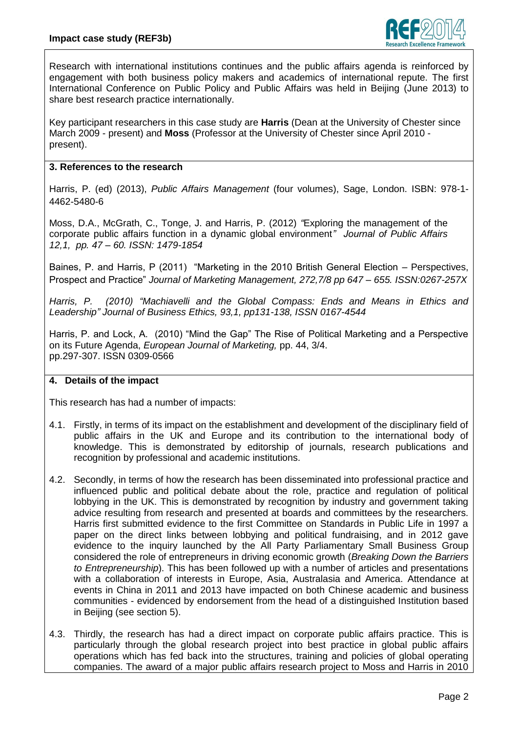

Research with international institutions continues and the public affairs agenda is reinforced by engagement with both business policy makers and academics of international repute. The first International Conference on Public Policy and Public Affairs was held in Beijing (June 2013) to share best research practice internationally.

Key participant researchers in this case study are **Harris** (Dean at the University of Chester since March 2009 - present) and **Moss** (Professor at the University of Chester since April 2010 present).

## **3. References to the research**

Harris, P. (ed) (2013), *Public Affairs Management* (four volumes), Sage, London. ISBN: 978-1- 4462-5480-6

Moss, D.A., McGrath, C., Tonge, J. and Harris, P. (2012) *"*Exploring the management of the corporate public affairs function in a dynamic global environment*" Journal of Public Affairs 12,1, pp. 47 – 60. ISSN: 1479-1854*

Baines, P. and Harris, P (2011) "Marketing in the 2010 British General Election – Perspectives, Prospect and Practice" *Journal of Marketing Management, 272,7/8 pp 647 – 655. ISSN:0267-257X*

*Harris, P. (2010) ["Machiavelli and the Global Compass: Ends and Means in Ethics and](http://springerlink.metapress.com/content/356l3585n5453622/)  [Leadership"](http://springerlink.metapress.com/content/356l3585n5453622/) Journal of Business Ethics, 93,1, pp131-138, ISSN 0167-4544* 

Harris, P. and Lock, A. (2010) "Mind the Gap" The Rise of Political Marketing and a Perspective on its Future Agenda, *European Journal of Marketing,* pp. 44, 3/4. pp.297-307. ISSN 0309-0566

## **4. Details of the impact**

This research has had a number of impacts:

- 4.1. Firstly, in terms of its impact on the establishment and development of the disciplinary field of public affairs in the UK and Europe and its contribution to the international body of knowledge. This is demonstrated by editorship of journals, research publications and recognition by professional and academic institutions.
- 4.2. Secondly, in terms of how the research has been disseminated into professional practice and influenced public and political debate about the role, practice and regulation of political lobbying in the UK. This is demonstrated by recognition by industry and government taking advice resulting from research and presented at boards and committees by the researchers. Harris first submitted evidence to the first Committee on Standards in Public Life in 1997 a paper on the direct links between lobbying and political fundraising, and in 2012 gave evidence to the inquiry launched by the All Party Parliamentary Small Business Group considered the role of entrepreneurs in driving economic growth (*Breaking Down the Barriers to Entrepreneurship*). This has been followed up with a number of articles and presentations with a collaboration of interests in Europe, Asia, Australasia and America. Attendance at events in China in 2011 and 2013 have impacted on both Chinese academic and business communities - evidenced by endorsement from the head of a distinguished Institution based in Beijing (see section 5).
- 4.3. Thirdly, the research has had a direct impact on corporate public affairs practice. This is particularly through the global research project into best practice in global public affairs operations which has fed back into the structures, training and policies of global operating companies. The award of a major public affairs research project to Moss and Harris in 2010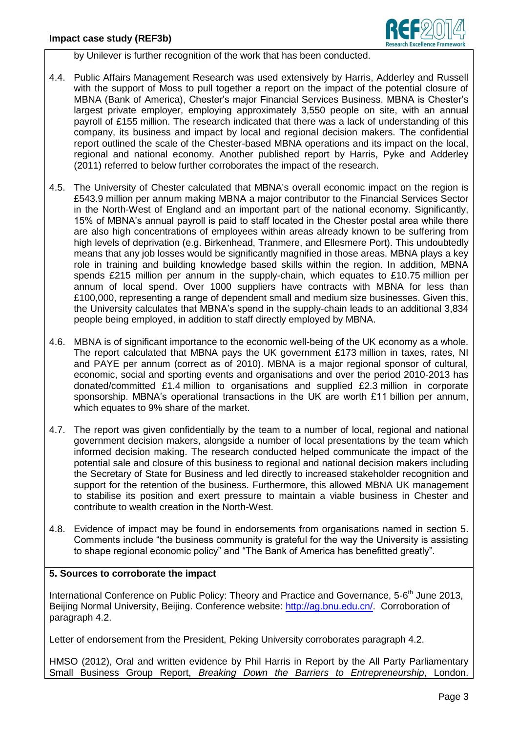

by Unilever is further recognition of the work that has been conducted.

- 4.4. Public Affairs Management Research was used extensively by Harris, Adderley and Russell with the support of Moss to pull together a report on the impact of the potential closure of MBNA (Bank of America), Chester's major Financial Services Business. MBNA is Chester's largest private employer, employing approximately 3,550 people on site, with an annual payroll of £155 million. The research indicated that there was a lack of understanding of this company, its business and impact by local and regional decision makers. The confidential report outlined the scale of the Chester-based MBNA operations and its impact on the local, regional and national economy. Another published report by Harris, Pyke and Adderley (2011) referred to below further corroborates the impact of the research.
- 4.5. The University of Chester calculated that MBNA's overall economic impact on the region is £543.9 million per annum making MBNA a major contributor to the Financial Services Sector in the North-West of England and an important part of the national economy. Significantly, 15% of MBNA's annual payroll is paid to staff located in the Chester postal area while there are also high concentrations of employees within areas already known to be suffering from high levels of deprivation (e.g. Birkenhead, Tranmere, and Ellesmere Port). This undoubtedly means that any job losses would be significantly magnified in those areas. MBNA plays a key role in training and building knowledge based skills within the region. In addition, MBNA spends £215 million per annum in the supply-chain, which equates to £10.75 million per annum of local spend. Over 1000 suppliers have contracts with MBNA for less than £100,000, representing a range of dependent small and medium size businesses. Given this, the University calculates that MBNA's spend in the supply-chain leads to an additional 3,834 people being employed, in addition to staff directly employed by MBNA.
- 4.6. MBNA is of significant importance to the economic well-being of the UK economy as a whole. The report calculated that MBNA pays the UK government £173 million in taxes, rates, NI and PAYE per annum (correct as of 2010). MBNA is a major regional sponsor of cultural, economic, social and sporting events and organisations and over the period 2010-2013 has donated/committed £1.4 million to organisations and supplied £2.3 million in corporate sponsorship. MBNA's operational transactions in the UK are worth £11 billion per annum, which equates to 9% share of the market.
- 4.7. The report was given confidentially by the team to a number of local, regional and national government decision makers, alongside a number of local presentations by the team which informed decision making. The research conducted helped communicate the impact of the potential sale and closure of this business to regional and national decision makers including the Secretary of State for Business and led directly to increased stakeholder recognition and support for the retention of the business. Furthermore, this allowed MBNA UK management to stabilise its position and exert pressure to maintain a viable business in Chester and contribute to wealth creation in the North-West.
- 4.8. Evidence of impact may be found in endorsements from organisations named in section 5. Comments include "the business community is grateful for the way the University is assisting to shape regional economic policy" and "The Bank of America has benefitted greatly".

## **5. Sources to corroborate the impact**

International Conference on Public Policy: Theory and Practice and Governance, 5-6<sup>th</sup> June 2013, Beijing Normal University, Beijing. Conference website: [http://ag.bnu.edu.cn/.](http://ag.bnu.edu.cn/) Corroboration of paragraph 4.2.

Letter of endorsement from the President, Peking University corroborates paragraph 4.2.

HMSO (2012), Oral and written evidence by Phil Harris in Report by the All Party Parliamentary Small Business Group Report, *Breaking Down the Barriers to Entrepreneurship*, London.